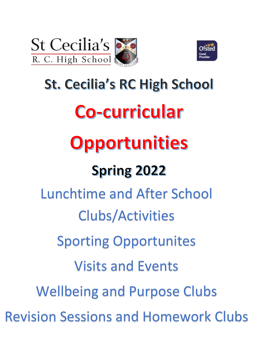



# **St. Cecilia's RC High School** Co-curricular Opportunities **Spring 2022** Lunchtime and After School Clubs/Activities Sporting Opportunites Visits and Events Wellbeing and Purpose Clubs Revision Sessions and Homework Clubs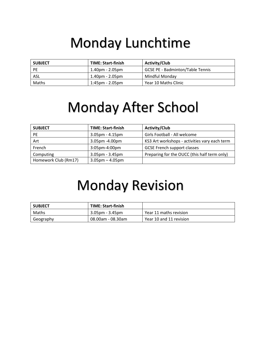# Monday Lunchtime

| <b>SUBJECT</b> | <b>TIME: Start-finish</b> | <b>Activity/Club</b>                    |
|----------------|---------------------------|-----------------------------------------|
| <b>PE</b>      | 1.40pm - 2.05pm           | <b>GCSE PE - Badminton/Table Tennis</b> |
| ASL            | $1.40$ pm - $2.05$ pm     | Mindful Mondav                          |
| Maths          | 1:45pm - 2.05pm           | Year 10 Maths Clinic                    |

## Monday After School

| <b>SUBJECT</b>       | <b>TIME: Start-finish</b> | <b>Activity/Club</b>                          |
|----------------------|---------------------------|-----------------------------------------------|
| PE.                  | $3.05$ pm - $4.15$ pm     | Girls Football - All welcome                  |
| Art                  | 3.05pm -4.00pm            | KS3 Art workshops - activities vary each term |
| French               | 3:05pm-4:00pm             | <b>GCSE French support classes</b>            |
| Computing            | 3.05pm - 3.45pm           | Preparing for the OUCC (this half term only)  |
| Homework Club (Rm17) | $3.05$ pm – $4.05$ pm     |                                               |

# Monday Revision

| <b>SUBJECT</b> | <b>TIME: Start-finish</b> |                         |
|----------------|---------------------------|-------------------------|
| Maths          | 3.05pm - 3.45pm           | Year 11 maths revision  |
| Geography      | 08.00am - 08.30am         | Year 10 and 11 revision |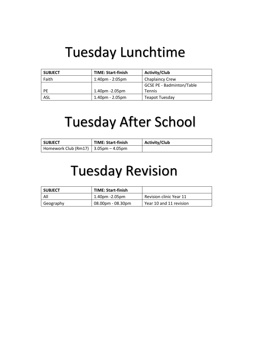#### Tuesday Lunchtime

| <b>SUBJECT</b> | <b>TIME: Start-finish</b> | <b>Activity/Club</b>             |
|----------------|---------------------------|----------------------------------|
| Faith          | 1:40pm - 2:05pm           | <b>Chaplaincy Crew</b>           |
|                |                           | <b>GCSE PE - Badminton/Table</b> |
| <b>PE</b>      | $1.40$ pm $-2.05$ pm      | <b>Tennis</b>                    |
| <b>ASL</b>     | $1.40pm - 2.05pm$         | <b>Teapot Tuesday</b>            |

# Tuesday After School

| <b>SUBJECT</b>                               | <b>TIME: Start-finish</b> | <b>Activity/Club</b> |
|----------------------------------------------|---------------------------|----------------------|
| Homework Club (Rm17) $\vert$ 3.05pm – 4.05pm |                           |                      |

#### Tuesday Revision

| <b>SUBJECT</b> | <b>TIME: Start-finish</b> |                         |
|----------------|---------------------------|-------------------------|
| All            | 1.40pm -2.05pm            | Revision clinic Year 11 |
| Geography      | $08.00pm - 08.30pm$       | Year 10 and 11 revision |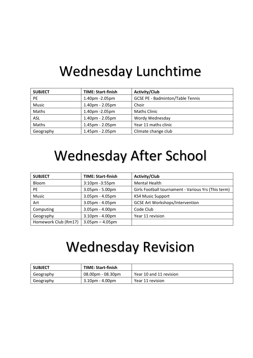### Wednesday Lunchtime

| <b>SUBJECT</b> | <b>TIME: Start-finish</b> | <b>Activity/Club</b>                    |
|----------------|---------------------------|-----------------------------------------|
| <b>PE</b>      | 1.40pm -2.05pm            | <b>GCSE PE - Badminton/Table Tennis</b> |
| Music          | 1.40pm - 2.05pm           | Choir                                   |
| Maths          | 1.40pm -2.05pm            | <b>Maths Clinic</b>                     |
| <b>ASL</b>     | 1.40pm - 2.05pm           | Wordy Wednesday                         |
| Maths          | 1.45pm - 2.05pm           | Year 11 maths clinic                    |
| Geography      | 1.45pm - 2.05pm           | Climate change club                     |

## Wednesday After School

| <b>SUBJECT</b>       | <b>TIME: Start-finish</b> | <b>Activity/Club</b>                                |
|----------------------|---------------------------|-----------------------------------------------------|
| <b>Bloom</b>         | 3:10pm -3:55pm            | <b>Mental Health</b>                                |
| <b>PE</b>            | 3.05pm - 5.00pm           | Girls Football tournament - Various Yrs (This term) |
| Music                | $3.05$ pm - $4.05$ pm     | <b>KS4 Music Support</b>                            |
| Art                  | $3.05$ pm - $4.05$ pm     | <b>GCSE Art Workshops/Intervention</b>              |
| Computing            | 3.05pm - 4.00pm           | Code Club                                           |
| Geography            | $3.10pm - 4.00pm$         | Year 11 revision                                    |
| Homework Club (Rm17) | $3.05$ pm $- 4.05$ pm     |                                                     |

# Wednesday Revision

| <b>SUBJECT</b> | <b>TIME: Start-finish</b> |                         |
|----------------|---------------------------|-------------------------|
| Geography      | $08.00$ pm - $08.30$ pm   | Year 10 and 11 revision |
| Geography      | 3.10pm - 4.00pm           | Year 11 revision        |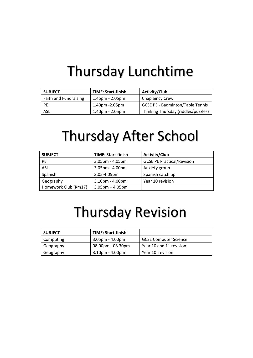## Thursday Lunchtime

| <b>SUBJECT</b>               | <b>TIME: Start-finish</b> | <b>Activity/Club</b>                    |
|------------------------------|---------------------------|-----------------------------------------|
| <b>Faith and Fundraising</b> | $1:45$ pm - $2:05$ pm     | <b>Chaplaincy Crew</b>                  |
| <b>PF</b>                    | 1.40pm -2.05pm            | <b>GCSE PE - Badminton/Table Tennis</b> |
| ASL                          | $1.40$ pm - $2.05$ pm     | Thinking Thursday (riddles/puzzles)     |

## Thursday After School

| <b>SUBJECT</b>       | <b>TIME: Start-finish</b> | <b>Activity/Club</b>              |
|----------------------|---------------------------|-----------------------------------|
| <b>PE</b>            | $3.05$ pm - $4.05$ pm     | <b>GCSE PE Practical/Revision</b> |
| ASL                  | 3.05pm - 4.00pm           | Anxiety group                     |
| Spanish              | $3:05 - 4:05$ pm          | Spanish catch up                  |
| Geography            | $3.10pm - 4.00pm$         | Year 10 revision                  |
| Homework Club (Rm17) | $3.05$ pm $-4.05$ pm      |                                   |

#### Thursday Revision

| <b>SUBJECT</b> | <b>TIME: Start-finish</b> |                              |
|----------------|---------------------------|------------------------------|
| Computing      | $3.05$ pm - $4.00$ pm     | <b>GCSE Computer Science</b> |
| Geography      | $08.00pm - 08.30pm$       | Year 10 and 11 revision      |
| Geography      | $3.10pm - 4.00pm$         | Year 10 revision             |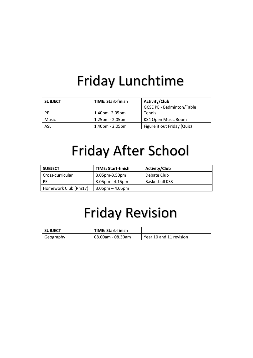# Friday Lunchtime

| <b>SUBJECT</b> | <b>TIME: Start-finish</b> | <b>Activity/Club</b>             |
|----------------|---------------------------|----------------------------------|
|                |                           | <b>GCSE PE - Badminton/Table</b> |
| <b>PE</b>      | $1.40$ pm $-2.05$ pm      | Tennis                           |
| Music          | $1.25$ pm - $2.05$ pm     | KS4 Open Music Room              |
| ASL            | $1.40pm - 2.05pm$         | Figure it out Friday (Quiz)      |

# Friday After School

| <b>SUBJECT</b>       | <b>TIME: Start-finish</b> | <b>Activity/Club</b>  |
|----------------------|---------------------------|-----------------------|
| Cross-curricular     | $3.05$ pm- $3.50$ pm      | Debate Club           |
| <b>PF</b>            | $3.05$ pm - $4.15$ pm     | <b>Basketball KS3</b> |
| Homework Club (Rm17) | $3.05$ pm – 4.05pm        |                       |

## Friday Revision

| l subject | <b>TIME: Start-finish</b> |                         |
|-----------|---------------------------|-------------------------|
| Geography | 08.00am - 08.30am         | Year 10 and 11 revision |